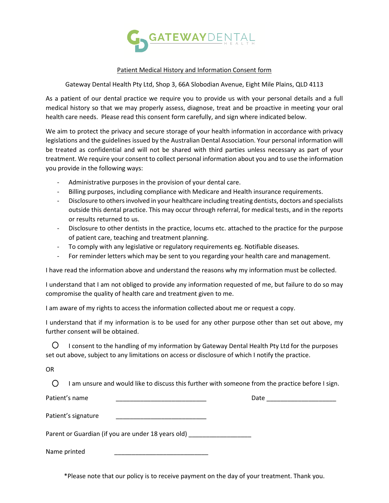

## Patient Medical History and Information Consent form

Gateway Dental Health Pty Ltd, Shop 3, 66A Slobodian Avenue, Eight Mile Plains, QLD 4113

As a patient of our dental practice we require you to provide us with your personal details and a full medical history so that we may properly assess, diagnose, treat and be proactive in meeting your oral health care needs. Please read this consent form carefully, and sign where indicated below.

We aim to protect the privacy and secure storage of your health information in accordance with privacy legislations and the guidelines issued by the Australian Dental Association. Your personal information will be treated as confidential and will not be shared with third parties unless necessary as part of your treatment. We require your consent to collect personal information about you and to use the information you provide in the following ways:

- Administrative purposes in the provision of your dental care.
- Billing purposes, including compliance with Medicare and Health insurance requirements.
- Disclosure to others involved in your healthcare including treating dentists, doctors and specialists outside this dental practice. This may occur through referral, for medical tests, and in the reports or results returned to us.
- Disclosure to other dentists in the practice, locums etc. attached to the practice for the purpose of patient care, teaching and treatment planning.
- To comply with any legislative or regulatory requirements eg. Notifiable diseases.
- For reminder letters which may be sent to you regarding your health care and management.

I have read the information above and understand the reasons why my information must be collected.

I understand that I am not obliged to provide any information requested of me, but failure to do so may compromise the quality of health care and treatment given to me.

I am aware of my rights to access the information collected about me or request a copy.

I understand that if my information is to be used for any other purpose other than set out above, my further consent will be obtained.

O. I consent to the handling of my information by Gateway Dental Health Pty Ltd for the purposes set out above, subject to any limitations on access or disclosure of which I notify the practice.

OR

 $\bigcirc$ I am unsure and would like to discuss this further with someone from the practice before I sign.

Patient's name **and a set of the set of the set of the set of the set of the set of the set of the set of the set of the set of the set of the set of the set of the set of the set of the set of the set of the set of the se** 

Patient's signature

Parent or Guardian (if you are under 18 years old)

Name printed

\*Please note that our policy is to receive payment on the day of your treatment. Thank you.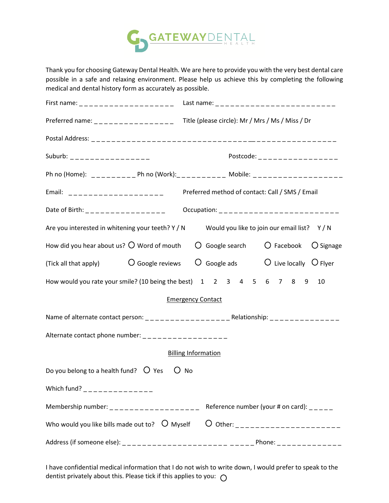

Thank you for choosing Gateway Dental Health. We are here to provide you with the very best dental care possible in a safe and relaxing environment. Please help us achieve this by completing the following medical and dental history form as accurately as possible.

| Preferred name: ___________________Title (please circle): Mr / Mrs / Ms / Miss / Dr                                 |                                                                              |  |  |  |  |                                                                    |  |  |
|---------------------------------------------------------------------------------------------------------------------|------------------------------------------------------------------------------|--|--|--|--|--------------------------------------------------------------------|--|--|
|                                                                                                                     |                                                                              |  |  |  |  |                                                                    |  |  |
| Suburb: _________________                                                                                           | Postcode: _ _ _ _ _ _ _ _ _ _ _ _ _ _ _ _                                    |  |  |  |  |                                                                    |  |  |
|                                                                                                                     | Ph no (Home): __________ Ph no (Work):__________ Mobile: ___________________ |  |  |  |  |                                                                    |  |  |
|                                                                                                                     | Email: ____________________ Preferred method of contact: Call / SMS / Email  |  |  |  |  |                                                                    |  |  |
| Date of Birth: ________________                                                                                     |                                                                              |  |  |  |  | Occupation: __________________________                             |  |  |
| Are you interested in whitening your teeth? Y / N Would you like to join our email list? Y / N                      |                                                                              |  |  |  |  |                                                                    |  |  |
| How did you hear about us? $\bigcirc$ Word of mouth $\bigcirc$ Google search $\bigcirc$ Facebook $\bigcirc$ Signage |                                                                              |  |  |  |  |                                                                    |  |  |
| (Tick all that apply) $O$ Google reviews $O$ Google ads $O$ Live locally $O$ Flyer                                  |                                                                              |  |  |  |  |                                                                    |  |  |
| How would you rate your smile? (10 being the best) 1 2 3 4 5 6 7 8 9 10                                             |                                                                              |  |  |  |  |                                                                    |  |  |
| <b>Emergency Contact</b>                                                                                            |                                                                              |  |  |  |  |                                                                    |  |  |
|                                                                                                                     |                                                                              |  |  |  |  |                                                                    |  |  |
| Alternate contact phone number: __________________                                                                  |                                                                              |  |  |  |  |                                                                    |  |  |
| <b>Billing Information</b>                                                                                          |                                                                              |  |  |  |  |                                                                    |  |  |
| Do you belong to a health fund? $O$ Yes $O$ No                                                                      |                                                                              |  |  |  |  |                                                                    |  |  |
| Which fund? _______________                                                                                         |                                                                              |  |  |  |  |                                                                    |  |  |
| Membership number: ____________________                                                                             |                                                                              |  |  |  |  | Reference number (your # on card): $\frac{1}{2}$ = $\frac{1}{2}$ = |  |  |
| Who would you like bills made out to? $\circ$ Myself                                                                |                                                                              |  |  |  |  | O other: ______________________                                    |  |  |
|                                                                                                                     |                                                                              |  |  |  |  |                                                                    |  |  |

I have confidential medical information that I do not wish to write down, I would prefer to speak to the dentist privately about this. Please tick if this applies to you:  $\bigcirc$